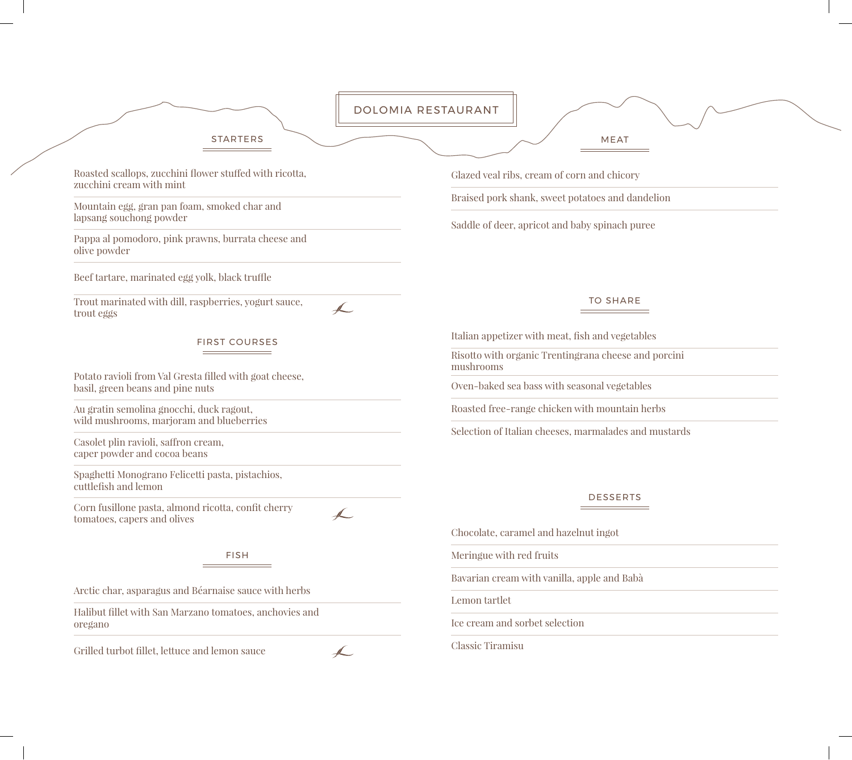|                                                                                                | DOLOMIA RESTAURANT                                                                                      |
|------------------------------------------------------------------------------------------------|---------------------------------------------------------------------------------------------------------|
| <b>STARTERS</b>                                                                                | <b>MEAT</b>                                                                                             |
| Roasted scallops, zucchini flower stuffed with ricotta,<br>zucchini cream with mint            | Glazed veal ribs, cream of corn and chicory                                                             |
| Mountain egg, gran pan foam, smoked char and<br>lapsang souchong powder                        | Braised pork shank, sweet potatoes and dandelion<br>Saddle of deer, apricot and baby spinach puree      |
| Pappa al pomodoro, pink prawns, burrata cheese and<br>olive powder                             |                                                                                                         |
| Beef tartare, marinated egg yolk, black truffle                                                |                                                                                                         |
| Trout marinated with dill, raspberries, yogurt sauce,<br>$\overline{\mathbb{A}}$<br>trout eggs | <b>TO SHARE</b>                                                                                         |
| <b>FIRST COURSES</b>                                                                           | Italian appetizer with meat, fish and vegetables                                                        |
| Potato ravioli from Val Gresta filled with goat cheese,<br>basil, green beans and pine nuts    | Risotto with organic Trentingrana cheese and porcini<br>mushrooms                                       |
|                                                                                                | Oven-baked sea bass with seasonal vegetables                                                            |
| Au gratin semolina gnocchi, duck ragout,<br>wild mushrooms, marjoram and blueberries           | Roasted free-range chicken with mountain herbs<br>Selection of Italian cheeses, marmalades and mustards |
| Casolet plin ravioli, saffron cream,<br>caper powder and cocoa beans                           |                                                                                                         |
| Spaghetti Monograno Felicetti pasta, pistachios,<br>cuttlefish and lemon                       |                                                                                                         |
| Corn fusillone pasta, almond ricotta, confit cherry<br>tomatoes, capers and olives             | <b>DESSERTS</b>                                                                                         |
|                                                                                                | Chocolate, caramel and hazelnut ingot                                                                   |
| <b>FISH</b>                                                                                    | Meringue with red fruits                                                                                |
| Arctic char, asparagus and Béarnaise sauce with herbs                                          | Bavarian cream with vanilla, apple and Babà                                                             |
| Halibut fillet with San Marzano tomatoes, anchovies and<br>oregano                             | Lemon tartlet                                                                                           |
|                                                                                                | Ice cream and sorbet selection                                                                          |
| Grilled turbot fillet, lettuce and lemon sauce                                                 | <b>Classic Tiramisu</b>                                                                                 |